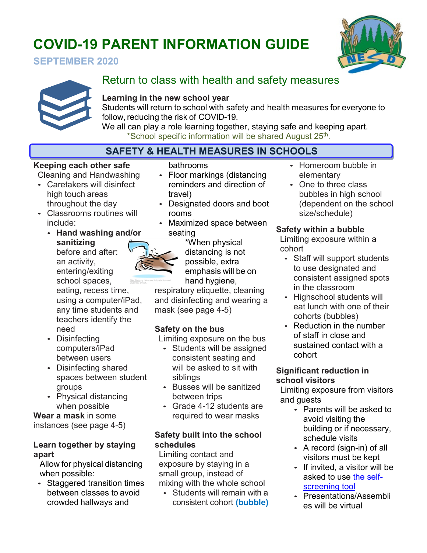# **COVID-19 PARENT INFORMATION GUIDE**







# Return to class with health and safety measures

#### **Learning in the new school year**

Students will return to school with safety and health measures for everyone to follow, reducing the risk of COVID-19.

We all can play a role learning together, staying safe and keeping apart. \*School specific information will be shared August 25th.

# **SAFETY & HEALTH MEASURES IN SCHOOLS**

#### **Keeping each other safe**

Cleaning and Handwashing

- Caretakers will disinfect high touch areas throughout the day
- Classrooms routines will include:
	- **Hand washing and/or sanitizing** before and after:

an activity, entering/exiting school spaces,

eating, recess time, using a computer/iPad, any time students and teachers identify the need

- Disinfecting computers/iPad between users
- Disinfecting shared spaces between student groups
- Physical distancing when possible

**Wear a mask** in some instances (see page 4-5)

#### **Learn together by staying apart**

Allow for physical distancing when possible:

• Staggered transition times between classes to avoid crowded hallways and

bathrooms

- Floor markings (distancing reminders and direction of travel)
- Designated doors and boot rooms
- Maximized space between seating

\*When physical distancing is not possible, extra emphasis will be on hand hygiene,

respiratory etiquette, cleaning and disinfecting and wearing a mask (see page 4-5)

## **Safety on the bus**

Limiting exposure on the bus

- Students will be assigned consistent seating and will be asked to sit with siblings
- Busses will be sanitized between trips
- Grade 4-12 students are required to wear masks

#### **Safety built into the school schedules**

Limiting contact and exposure by staying in a small group, instead of mixing with the whole school

• Students will remain with a consistent cohort **(bubble)** 

- Homeroom bubble in elementary
- One to three class bubbles in high school (dependent on the school size/schedule)

## **Safety within a bubble**

Limiting exposure within a cohort

- Staff will support students to use designated and consistent assigned spots in the classroom
- Highschool students will eat lunch with one of their cohorts (bubbles)
- Reduction in the number of staff in close and sustained contact with a cohort

#### **Significant reduction in school visitors**

Limiting exposure from visitors and guests

- Parents will be asked to avoid visiting the building or if necessary, schedule visits
- A record (sign-in) of all visitors must be kept
- If invited, a visitor will be asked to use [the self](https://www.nesd.ca/covid19/NESD%20Updates/NESD%20covid19%20daily%20risk%20assessment.pdf)[screening tool](https://www.nesd.ca/covid19/NESD%20Updates/NESD%20covid19%20daily%20risk%20assessment.pdf)
- Presentations/Assembli es will be virtual

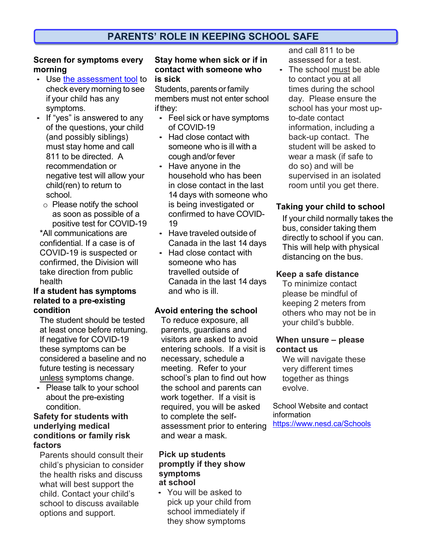#### **Screen for symptoms every morning**

- Use [the assessment tool](https://www.nesd.ca/covid19/NESD%20Updates/NESD%20covid19%20daily%20risk%20assessment.pdf) to check every morning to see if your child has any symptoms.
- If "yes" is answered to any of the questions, your child (and possibly siblings) must stay home and call 811 to be directed. A recommendation or negative test will allow your child(ren) to return to school.
	- o Please notify the school as soon as possible of a positive test for COVID-19

\*All communications are confidential. If a case is of COVID-19 is suspected or confirmed, the Division will take direction from public health

#### **If a student has symptoms related to a pre-existing condition**

The student should be tested at least once before returning. If negative for COVID-19 these symptoms can be considered a baseline and no future testing is necessary unless symptoms change.

• Please talk to your school about the pre-existing condition.

#### **Safety for students with underlying medical conditions or family risk factors**

Parents should consult their child's physician to consider the health risks and discuss what will best support the child. Contact your child's school to discuss available options and support.

#### **Stay home when sick or if in contact with someone who is sick**

Students, parents or family members must not enter school ifthey:

- Feel sick or have symptoms of COVID-19
- Had close contact with someone who is ill with a cough and/or fever
- Have anyone in the household who has been in close contact in the last 14 days with someone who is being investigated or confirmed to have COVID-19
- Have traveled outside of Canada in the last 14 days
- Had close contact with someone who has travelled outside of Canada in the last 14 days and who is ill.

#### **Avoid entering the school**

To reduce exposure, all parents, guardians and visitors are asked to avoid entering schools. If a visit is necessary, schedule a meeting. Refer to your school's plan to find out how the school and parents can work together. If a visit is required, you will be asked to complete the selfassessment prior to entering and wear a mask.

#### **Pick up students promptly if they show symptoms at school**

• You will be asked to pick up your child from school immediately if they show symptoms

and call 811 to be assessed for a test.

• The school must be able to contact you at all times during the school day. Please ensure the school has your most upto-date contact information, including a back-up contact. The student will be asked to wear a mask (if safe to do so) and will be supervised in an isolated room until you get there.

#### **Taking your child to school**

If your child normally takes the bus, consider taking them directly to school if you can. This will help with physical distancing on the bus.

#### **Keep a safe distance**

To minimize contact please be mindful of keeping 2 meters from others who may not be in your child's bubble.

#### **When unsure – please contact us**

We will navigate these very different times together as things evolve.

#### School Website and contact information <https://www.nesd.ca/Schools>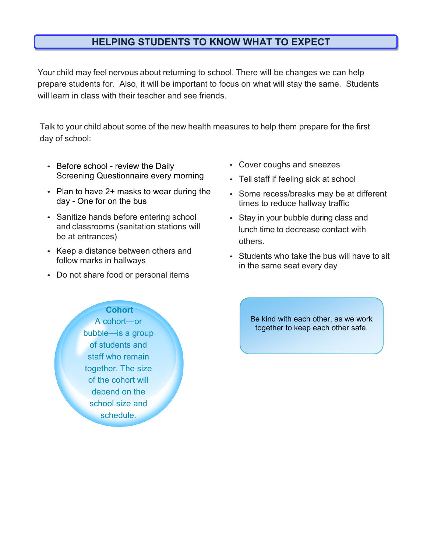## **HELPING STUDENTS TO KNOW WHAT TO EXPECT**

Your child may feel nervous about returning to school. There will be changes we can help prepare students for. Also, it will be important to focus on what will stay the same. Students will learn in class with their teacher and see friends.

Talk to your child about some of the new health measures to help them prepare for the first day of school:

- Before school review the Daily Screening Questionnaire every morning
- Plan to have 2+ masks to wear during the day - One for on the bus
- Sanitize hands before entering school and classrooms (sanitation stations will be at entrances)
- Keep a distance between others and follow marks in hallways
- Do not share food or personal items

**Cohort**

- Cover coughs and sneezes
- Tell staff if feeling sick at school
- Some recess/breaks may be at different times to reduce hallway traffic
- Stay in your bubble during class and lunch time to decrease contact with others.
- Students who take the bus will have to sit in the same seat every day

Be kind with each other, as we work together to keep each other safe.

A cohort—or bubble—is a group of students and staff who remain together. The size of the cohort will depend on the school size and schedule.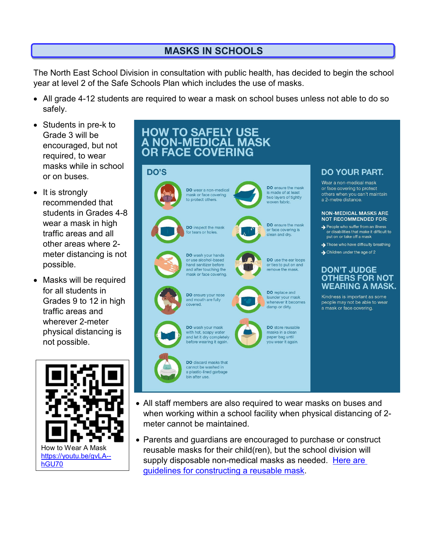# **MASKS IN SCHOOLS**

The North East School Division in consultation with public health, has decided to begin the school year at level 2 of the Safe Schools Plan which includes the use of masks.

- All grade 4-12 students are required to wear a mask on school buses unless not able to do so safely.
- Students in pre-k to Grade 3 will be encouraged, but not required, to wear masks while in school or on buses.
- It is strongly recommended that students in Grades 4-8 wear a mask in high traffic areas and all other areas where 2 meter distancing is not possible.
- Masks will be required for all students in Grades 9 to 12 in high traffic areas and wherever 2-meter physical distancing is not possible.





- All staff members are also required to wear masks on buses and when working within a school facility when physical distancing of 2 meter cannot be maintained.
- Parents and guardians are encouraged to purchase or construct reusable masks for their child(ren), but the school division will supply disposable non-medical masks as needed. Here are [guidelines for constructing a reusable mask.](https://www.canada.ca/en/public-health/services/diseases/2019-novel-coronavirus-infection/prevention-risks/sew-no-sew-instructions-non-medical-masks-face-coverings.html)